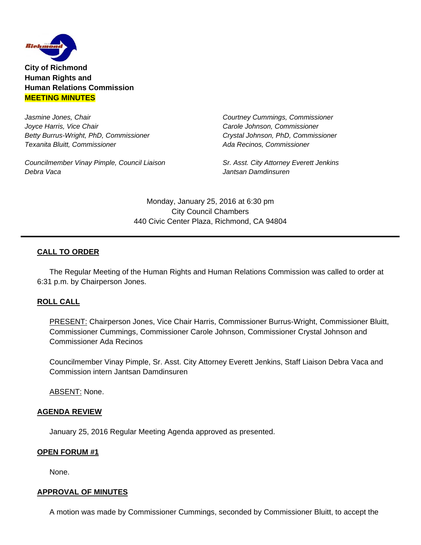

**City of Richmond Human Rights and Human Relations Commission MEETING MINUTES**

*Jasmine Jones, Chair Courtney Cummings, Commissioner Joyce Harris, Vice Chair* **Carole** *Johnson, Commissioner Carole Johnson, Commissioner Betty Burrus-Wright, PhD, Commissioner Crystal Johnson, PhD, Commissioner Texanita Bluitt, Commissioner**Ada Recinos, Commissioner*

Councilmember Vinay Pimple, Council Liaison Sr. Asst. City Attorney Everett Jenkins *Debra Vaca Jantsan Damdinsuren* 

Monday, January 25, 2016 at 6:30 pm City Council Chambers 440 Civic Center Plaza, Richmond, CA 94804

# **CALL TO ORDER**

The Regular Meeting of the Human Rights and Human Relations Commission was called to order at 6:31 p.m. by Chairperson Jones.

## **ROLL CALL**

PRESENT: Chairperson Jones, Vice Chair Harris, Commissioner Burrus-Wright, Commissioner Bluitt, Commissioner Cummings, Commissioner Carole Johnson, Commissioner Crystal Johnson and Commissioner Ada Recinos

Councilmember Vinay Pimple, Sr. Asst. City Attorney Everett Jenkins, Staff Liaison Debra Vaca and Commission intern Jantsan Damdinsuren

ABSENT: None.

#### **AGENDA REVIEW**

January 25, 2016 Regular Meeting Agenda approved as presented.

#### **OPEN FORUM #1**

None.

#### **APPROVAL OF MINUTES**

A motion was made by Commissioner Cummings, seconded by Commissioner Bluitt, to accept the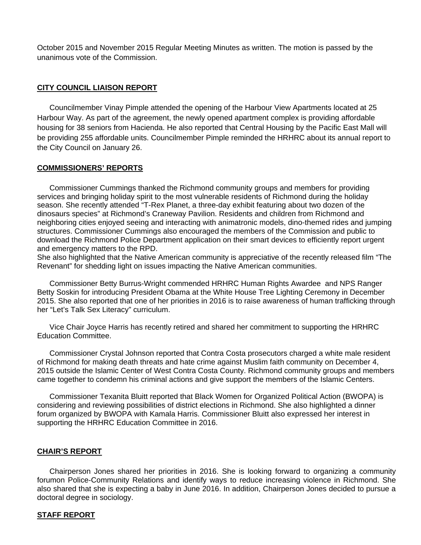October 2015 and November 2015 Regular Meeting Minutes as written. The motion is passed by the unanimous vote of the Commission.

## **CITY COUNCIL LIAISON REPORT**

 Councilmember Vinay Pimple attended the opening of the Harbour View Apartments located at 25 Harbour Way. As part of the agreement, the newly opened apartment complex is providing affordable housing for 38 seniors from Hacienda. He also reported that Central Housing by the Pacific East Mall will be providing 255 affordable units. Councilmember Pimple reminded the HRHRC about its annual report to the City Council on January 26.

#### **COMMISSIONERS' REPORTS**

 Commissioner Cummings thanked the Richmond community groups and members for providing services and bringing holiday spirit to the most vulnerable residents of Richmond during the holiday season. She recently attended "T-Rex Planet, a three-day exhibit featuring about two dozen of the dinosaurs species" at Richmond's Craneway Pavilion. Residents and children from Richmond and neighboring cities enjoyed seeing and interacting with animatronic models, dino-themed rides and jumping structures. Commissioner Cummings also encouraged the members of the Commission and public to download the Richmond Police Department application on their smart devices to efficiently report urgent and emergency matters to the RPD.

She also highlighted that the Native American community is appreciative of the recently released film "The Revenant" for shedding light on issues impacting the Native American communities.

 Commissioner Betty Burrus-Wright commended HRHRC Human Rights Awardee and NPS Ranger Betty Soskin for introducing President Obama at the White House Tree Lighting Ceremony in December 2015. She also reported that one of her priorities in 2016 is to raise awareness of human trafficking through her "Let's Talk Sex Literacy" curriculum.

 Vice Chair Joyce Harris has recently retired and shared her commitment to supporting the HRHRC Education Committee.

 Commissioner Crystal Johnson reported that Contra Costa prosecutors charged a white male resident of Richmond for making death threats and hate crime against Muslim faith community on December 4, 2015 outside the Islamic Center of West Contra Costa County. Richmond community groups and members came together to condemn his criminal actions and give support the members of the Islamic Centers.

 Commissioner Texanita Bluitt reported that Black Women for Organized Political Action (BWOPA) is considering and reviewing possibilities of district elections in Richmond. She also highlighted a dinner forum organized by BWOPA with Kamala Harris. Commissioner Bluitt also expressed her interest in supporting the HRHRC Education Committee in 2016.

## **CHAIR'S REPORT**

Chairperson Jones shared her priorities in 2016. She is looking forward to organizing a community forumon Police-Community Relations and identify ways to reduce increasing violence in Richmond. She also shared that she is expecting a baby in June 2016. In addition, Chairperson Jones decided to pursue a doctoral degree in sociology.

## **STAFF REPORT**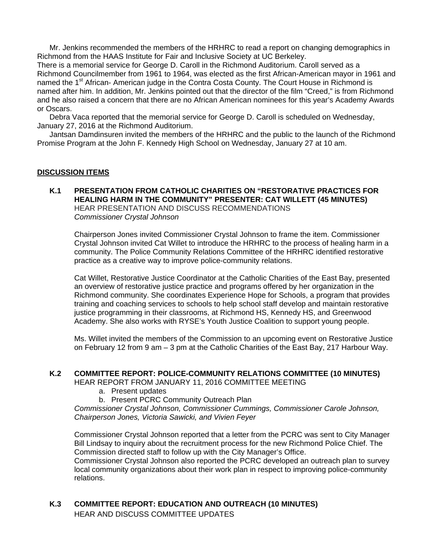Mr. Jenkins recommended the members of the HRHRC to read a report on changing demographics in Richmond from the HAAS Institute for Fair and Inclusive Society at UC Berkeley.

There is a memorial service for George D. Caroll in the Richmond Auditorium. Caroll served as a Richmond Councilmember from 1961 to 1964, was elected as the first African-American mayor in 1961 and named the 1<sup>st</sup> African- American judge in the Contra Costa County. The Court House in Richmond is named after him. In addition, Mr. Jenkins pointed out that the director of the film "Creed," is from Richmond and he also raised a concern that there are no African American nominees for this year's Academy Awards or Oscars.

 Debra Vaca reported that the memorial service for George D. Caroll is scheduled on Wednesday, January 27, 2016 at the Richmond Auditorium.

 Jantsan Damdinsuren invited the members of the HRHRC and the public to the launch of the Richmond Promise Program at the John F. Kennedy High School on Wednesday, January 27 at 10 am.

#### **DISCUSSION ITEMS**

**K.1 PRESENTATION FROM CATHOLIC CHARITIES ON "RESTORATIVE PRACTICES FOR HEALING HARM IN THE COMMUNITY" PRESENTER: CAT WILLETT (45 MINUTES)** HEAR PRESENTATION AND DISCUSS RECOMMENDATIONS *Commissioner Crystal Johnson* 

Chairperson Jones invited Commissioner Crystal Johnson to frame the item. Commissioner Crystal Johnson invited Cat Willet to introduce the HRHRC to the process of healing harm in a community. The Police Community Relations Committee of the HRHRC identified restorative practice as a creative way to improve police-community relations.

Cat Willet, Restorative Justice Coordinator at the Catholic Charities of the East Bay, presented an overview of restorative justice practice and programs offered by her organization in the Richmond community. She coordinates Experience Hope for Schools, a program that provides training and coaching services to schools to help school staff develop and maintain restorative justice programming in their classrooms, at Richmond HS, Kennedy HS, and Greenwood Academy. She also works with RYSE's Youth Justice Coalition to support young people.

Ms. Willet invited the members of the Commission to an upcoming event on Restorative Justice on February 12 from 9 am – 3 pm at the Catholic Charities of the East Bay, 217 Harbour Way.

#### **K.2 COMMITTEE REPORT: POLICE-COMMUNITY RELATIONS COMMITTEE (10 MINUTES)**

HEAR REPORT FROM JANUARY 11, 2016 COMMITTEE MEETING

- a. Present updates
- b. Present PCRC Community Outreach Plan

*Commissioner Crystal Johnson, Commissioner Cummings, Commissioner Carole Johnson, Chairperson Jones, Victoria Sawicki, and Vivien Feyer* 

Commissioner Crystal Johnson reported that a letter from the PCRC was sent to City Manager Bill Lindsay to inquiry about the recruitment process for the new Richmond Police Chief. The Commission directed staff to follow up with the City Manager's Office.

Commissioner Crystal Johnson also reported the PCRC developed an outreach plan to survey local community organizations about their work plan in respect to improving police-community relations.

**K.3 COMMITTEE REPORT: EDUCATION AND OUTREACH (10 MINUTES)** HEAR AND DISCUSS COMMITTEE UPDATES